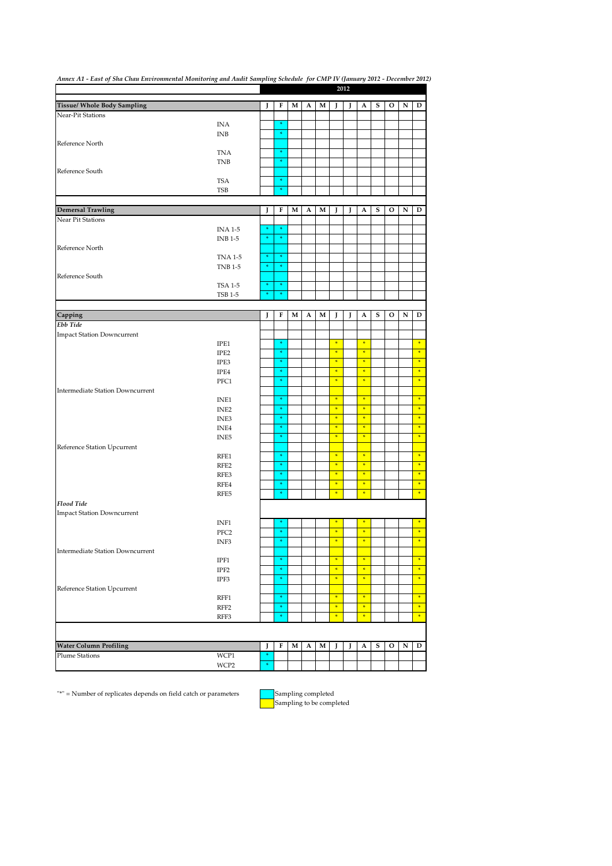| Annex A1 - East of Sha Chau Environmental Monitoring and Audit Sampling Schedule for CMP IV (January 2012 - December 2012) |                  |        |        |   |   |   |               | 2012 |               |   |   |           |               |
|----------------------------------------------------------------------------------------------------------------------------|------------------|--------|--------|---|---|---|---------------|------|---------------|---|---|-----------|---------------|
|                                                                                                                            |                  |        |        |   |   |   |               |      |               |   |   |           |               |
| Tissue/ Whole Body Sampling                                                                                                |                  | J      | F      | м | A | м | ı             | J    | A             | s | o | N         | D             |
| Near-Pit Stations                                                                                                          |                  |        |        |   |   |   |               |      |               |   |   |           |               |
|                                                                                                                            | INA              |        | ×      |   |   |   |               |      |               |   |   |           |               |
|                                                                                                                            | <b>INB</b>       |        | $\ast$ |   |   |   |               |      |               |   |   |           |               |
| Reference North                                                                                                            |                  |        |        |   |   |   |               |      |               |   |   |           |               |
|                                                                                                                            | <b>TNA</b>       |        | ×      |   |   |   |               |      |               |   |   |           |               |
|                                                                                                                            | <b>TNB</b>       |        | $\ast$ |   |   |   |               |      |               |   |   |           |               |
| Reference South                                                                                                            |                  |        |        |   |   |   |               |      |               |   |   |           |               |
|                                                                                                                            | <b>TSA</b>       |        | $\ast$ |   |   |   |               |      |               |   |   |           |               |
|                                                                                                                            | TSB              |        | ÷      |   |   |   |               |      |               |   |   |           |               |
|                                                                                                                            |                  |        |        |   |   |   |               |      |               |   |   |           |               |
| <b>Demersal Trawling</b>                                                                                                   |                  | J      | F      | м | A | м |               | J    | A             | s | o | N         | D             |
| Near Pit Stations                                                                                                          |                  |        |        |   |   |   |               |      |               |   |   |           |               |
|                                                                                                                            | <b>INA 1-5</b>   | ¥      |        |   |   |   |               |      |               |   |   |           |               |
|                                                                                                                            | <b>INB 1-5</b>   | $\ast$ | $\ast$ |   |   |   |               |      |               |   |   |           |               |
| Reference North                                                                                                            |                  |        |        |   |   |   |               |      |               |   |   |           |               |
|                                                                                                                            | <b>TNA 1-5</b>   | $\ast$ | ÷      |   |   |   |               |      |               |   |   |           |               |
|                                                                                                                            | <b>TNB 1-5</b>   | $\ast$ | ×      |   |   |   |               |      |               |   |   |           |               |
| Reference South                                                                                                            |                  |        |        |   |   |   |               |      |               |   |   |           |               |
|                                                                                                                            | <b>TSA 1-5</b>   | $\ast$ | $\ast$ |   |   |   |               |      |               |   |   |           |               |
|                                                                                                                            | <b>TSB 1-5</b>   | ¥      | ÷      |   |   |   |               |      |               |   |   |           |               |
|                                                                                                                            |                  |        |        |   |   |   |               |      |               |   |   |           |               |
| Capping                                                                                                                    |                  | J      | F      | м | A | м | I             | J    | A             | S | o | ${\bf N}$ | D             |
| Ebb Tide                                                                                                                   |                  |        |        |   |   |   |               |      |               |   |   |           |               |
| <b>Impact Station Downcurrent</b>                                                                                          |                  |        |        |   |   |   |               |      |               |   |   |           |               |
|                                                                                                                            | IPE1             |        | ÷      |   |   |   | $\ast$        |      | $\ast$        |   |   |           | $\frac{1}{N}$ |
|                                                                                                                            | IPE <sub>2</sub> |        | $\ast$ |   |   |   | $\ast$        |      | $\ast$        |   |   |           | $\ast$        |
|                                                                                                                            | IPE3             |        | $\ast$ |   |   |   | $\ast$        |      | $\frac{1}{2}$ |   |   |           | $\ast$        |
|                                                                                                                            | IPE4             |        | $\ast$ |   |   |   | $\ast$        |      | $\ast$        |   |   |           | $\ast$        |
|                                                                                                                            | PFC1             |        | $\ast$ |   |   |   | $\ast$        |      | $\ast$        |   |   |           | $\ast$        |
| <b>Intermediate Station Downcurrent</b>                                                                                    |                  |        |        |   |   |   |               |      |               |   |   |           |               |
|                                                                                                                            | INE1             |        | ÷      |   |   |   | $\frac{1}{2}$ |      | $\frac{1}{2}$ |   |   |           | $\ast$        |
|                                                                                                                            | INE <sub>2</sub> |        |        |   |   |   | $\ast$        |      | $\ast$        |   |   |           | $\ast$        |
|                                                                                                                            | INE3             |        |        |   |   |   | $\ast$        |      | $\ast$        |   |   |           | $\ast$        |
|                                                                                                                            | INE4             |        |        |   |   |   | $\ast$        |      | $\ast$        |   |   |           | $\ast$        |
|                                                                                                                            | INE <sub>5</sub> |        | ÷      |   |   |   | $\ast$        |      | $\ast$        |   |   |           | $\ast$        |
| Reference Station Upcurrent                                                                                                |                  |        |        |   |   |   |               |      |               |   |   |           |               |
|                                                                                                                            | RFE1             |        | ÷      |   |   |   | $\ast$        |      | $\ast$        |   |   |           | $\ast$        |
|                                                                                                                            | RFE <sub>2</sub> |        | ×      |   |   |   | $\ast$        |      | $\ast$        |   |   |           | $\ast$        |
|                                                                                                                            | RFE3             |        | ×      |   |   |   | $\ast$        |      | $\ast$        |   |   |           | $\ast$        |
|                                                                                                                            | RFE4             |        | ÷      |   |   |   | $\ast$        |      | $\ast$        |   |   |           | $\ast$        |
|                                                                                                                            | RFE5             |        | $\ast$ |   |   |   | $\ast$        |      | $\ast$        |   |   |           | $\ast$        |
| <b>Flood Tide</b>                                                                                                          |                  |        |        |   |   |   |               |      |               |   |   |           |               |
| <b>Impact Station Downcurrent</b>                                                                                          |                  |        |        |   |   |   |               |      |               |   |   |           |               |
|                                                                                                                            | INF1             |        |        |   |   |   |               |      | ×             |   |   |           | ×             |
|                                                                                                                            | PFC <sub>2</sub> |        | $\ast$ |   |   |   | $\ast$        |      | $\ast$        |   |   |           | $\ast$        |
|                                                                                                                            | INF3             |        | $\ast$ |   |   |   | ¥             |      | ÷             |   |   |           | ×             |
| <b>Intermediate Station Downcurrent</b>                                                                                    |                  |        |        |   |   |   |               |      |               |   |   |           |               |
|                                                                                                                            | IPF1             |        | ×      |   |   |   | $\ast$        |      | $\ast$        |   |   |           | $\ast$        |
|                                                                                                                            | IPF2             |        |        |   |   |   | $\ast$        |      | $\ast$        |   |   |           | $\ast$        |
|                                                                                                                            | IPF3             |        |        |   |   |   | $\ast$        |      | $\ast$        |   |   |           | $\ast$        |
| Reference Station Upcurrent                                                                                                |                  |        |        |   |   |   |               |      |               |   |   |           |               |
|                                                                                                                            | RFF1             |        | ×      |   |   |   | $\ast$        |      | $\ast$        |   |   |           | $\ast$        |
|                                                                                                                            | RFF <sub>2</sub> |        | ×      |   |   |   | $\ast$        |      | $\ast$        |   |   |           | $\ast$        |
|                                                                                                                            | RFF3             |        | ×      |   |   |   | $\ast$        |      | $\ast$        |   |   |           | $\ast$        |
|                                                                                                                            |                  |        |        |   |   |   |               |      |               |   |   |           |               |
|                                                                                                                            |                  |        |        |   |   |   |               |      |               |   |   |           |               |
| <b>Water Column Profiling</b>                                                                                              |                  | J      | F      | M | A | М | J             | J    | A             | S | o | ${\bf N}$ | D             |
| <b>Plume Stations</b>                                                                                                      | WCP1             | $\ast$ |        |   |   |   |               |      |               |   |   |           |               |
|                                                                                                                            | WCP2             | $\ast$ |        |   |   |   |               |      |               |   |   |           |               |
|                                                                                                                            |                  |        |        |   |   |   |               |      |               |   |   |           |               |

 $\sqrt{\phantom{a}^{u}}$  = Number of replicates depends on field catch or parameters

**Sampling completed**<br>Sampling to be completed